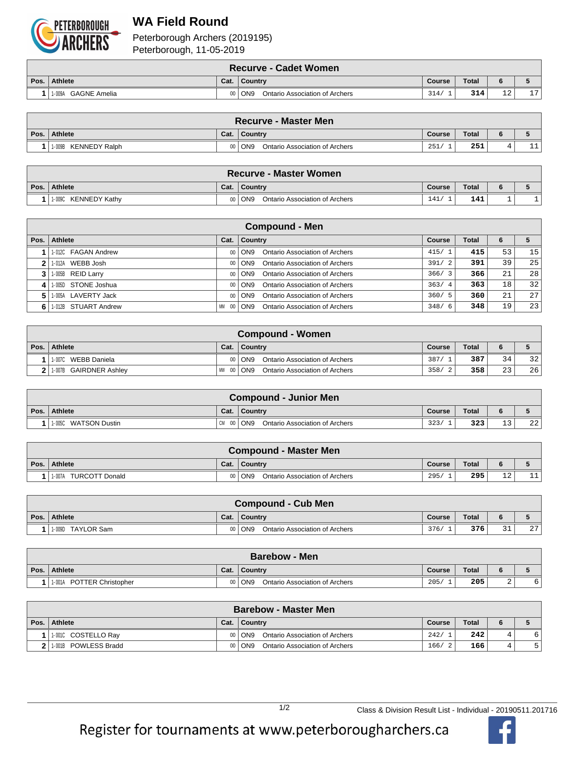

## **WA Field Round**

Peterborough Archers (2019195) Peterborough, 11-05-2019

|      | ∖ Recurve - Cadet Women I |      |                                            |        |              |              |    |  |  |  |
|------|---------------------------|------|--------------------------------------------|--------|--------------|--------------|----|--|--|--|
| Pos. | Athlete                   | Cat. | Country                                    | Course | <b>Total</b> |              |    |  |  |  |
|      | 1-009A GAGNE Amelia       |      | 00   ON9<br>Ontario Association of Archers | 314/   | 314          | $\sim$<br>⊥∠ | 17 |  |  |  |

|        | ∖ Recurve - Master Men ∖ |      |                                            |        |              |  |                 |  |  |  |
|--------|--------------------------|------|--------------------------------------------|--------|--------------|--|-----------------|--|--|--|
| Pos. I | <b>Athlete</b>           | Cat. | Country                                    | Course | <b>Total</b> |  |                 |  |  |  |
|        | 1-009B<br>KENNEDY Ralph  |      | 00   ON9<br>Ontario Association of Archers | 251,   | 251          |  | .1<br><b>__</b> |  |  |  |

|      | ∖ Recurve - Master Women       |      |                                            |        |              |  |  |  |  |  |  |
|------|--------------------------------|------|--------------------------------------------|--------|--------------|--|--|--|--|--|--|
| Pos. | Athlete                        | Cat. | ∣ Countrv                                  | Course | <b>Total</b> |  |  |  |  |  |  |
|      | <b>KENNEDY Kathv</b><br>1-009C |      | 00   ON9<br>Ontario Association of Archers | 141    | 141          |  |  |  |  |  |  |

|    | <b>Compound - Men</b>   |          |                                                     |        |       |    |    |  |  |  |  |  |
|----|-------------------------|----------|-----------------------------------------------------|--------|-------|----|----|--|--|--|--|--|
|    | Pos.   Athlete          | Cat.     | <b>Country</b>                                      | Course | Total |    |    |  |  |  |  |  |
|    | 1-012C FAGAN Andrew     |          | Ontario Association of Archers<br>00 ON9            | 415/1  | 415   | 53 | 15 |  |  |  |  |  |
|    | 1-012A WEBB Josh        |          | <b>Ontario Association of Archers</b><br>00   ON9   | 391/2  | 391   | 39 | 25 |  |  |  |  |  |
|    | $3$   1-005B REID Larry |          | Ontario Association of Archers<br>00 ON9            | 366/3  | 366   | 21 | 28 |  |  |  |  |  |
| 4  | 1.005D STONE Joshua     |          | Ontario Association of Archers<br>00 ON9            | 363/4  | 363   | 18 | 32 |  |  |  |  |  |
| 5. | 1.005A LAVERTY Jack     |          | <b>Ontario Association of Archers</b><br>00 ON9     | 360/5  | 360   | 21 | 27 |  |  |  |  |  |
|    | 1-012B STUART Andrew    | MM<br>00 | Ontario Association of Archers<br>$\overline{)$ ON9 | 348/6  | 348   | 19 | 23 |  |  |  |  |  |

|      | Compound - Women         |             |                                                 |        |              |    |    |  |  |  |  |
|------|--------------------------|-------------|-------------------------------------------------|--------|--------------|----|----|--|--|--|--|
| Pos. | Athlete                  | Cat.        | ∣ Countrv                                       | Course | <b>Total</b> |    |    |  |  |  |  |
|      | 1-007C<br>WEBB Daniela   |             | <b>Ontario Association of Archers</b><br>00 ON9 | 387/   | 387          | 34 | 32 |  |  |  |  |
|      | 2 1.007B GAIRDNER Ashley | MW 00   ON9 | Ontario Association of Archers                  | 358/   | 358          | 23 | 26 |  |  |  |  |

|      | <b>Compound - Junior Men</b>   |               |                                |               |              |        |    |  |  |  |
|------|--------------------------------|---------------|--------------------------------|---------------|--------------|--------|----|--|--|--|
| Pos. | <b>Athlete</b>                 | Cat.          | Country                        | <b>Course</b> | <b>Total</b> |        |    |  |  |  |
|      | <b>WATSON Dustin</b><br>1-005C | $CM$ 00 $ON9$ | Ontario Association of Archers | 323/          | 323          | $\sim$ | 22 |  |  |  |

| <b>Compound - Master Men</b>    |      |                                            |        |              |             |           |  |  |  |
|---------------------------------|------|--------------------------------------------|--------|--------------|-------------|-----------|--|--|--|
| Pos.   Athlete                  | Cat. | Country                                    | Course | <b>Total</b> |             |           |  |  |  |
| <b>TURCOTT Donald</b><br>1-007A |      | 00   ON9<br>Ontario Association of Archers | 295/   | 295          | $\sim$<br>∸ | <b>__</b> |  |  |  |

|      | <b>Compound - Cub Men</b> |      |                                                     |        |              |                |                 |  |  |  |
|------|---------------------------|------|-----------------------------------------------------|--------|--------------|----------------|-----------------|--|--|--|
| Pos. | Athlete                   | Cat. | Country                                             | Course | <b>Total</b> |                |                 |  |  |  |
|      | 1-009D TAYLOR Sam         |      | $\overline{)$ ON9<br>Ontario Association of Archers | 376/   | 376          | $\sim$<br>ــ ب | 27 <sup>1</sup> |  |  |  |

|      | <b>Barebow - Men</b>             |      |                                       |        |              |   |  |  |  |  |  |
|------|----------------------------------|------|---------------------------------------|--------|--------------|---|--|--|--|--|--|
| Pos. | Athlete                          | Cat. | Country                               | Course | <b>Total</b> |   |  |  |  |  |  |
|      | POTTER Christopher<br>$1 - 001A$ |      | ON9<br>Ontario Association of Archers | 205    | 205          | ▵ |  |  |  |  |  |

|      | <b>Barebow - Master Men</b> |      |                                            |               |              |   |    |  |  |  |  |
|------|-----------------------------|------|--------------------------------------------|---------------|--------------|---|----|--|--|--|--|
| Pos. | Athlete                     | Cat. | Country                                    | <b>Course</b> | <b>Total</b> | 6 |    |  |  |  |  |
|      | 1-0010 COSTELLO Ray         |      | 00   ON9<br>Ontario Association of Archers | 242/          | 242          | 4 | б. |  |  |  |  |
|      | 1.001B POWLESS Bradd        |      | Ontario Association of Archers<br>00   ON9 | 166/<br>- 2   | 166          | ப |    |  |  |  |  |

1/2 Class & Division Result List - Individual - 20190511.201716

Register for tournaments at www.peterborougharchers.ca